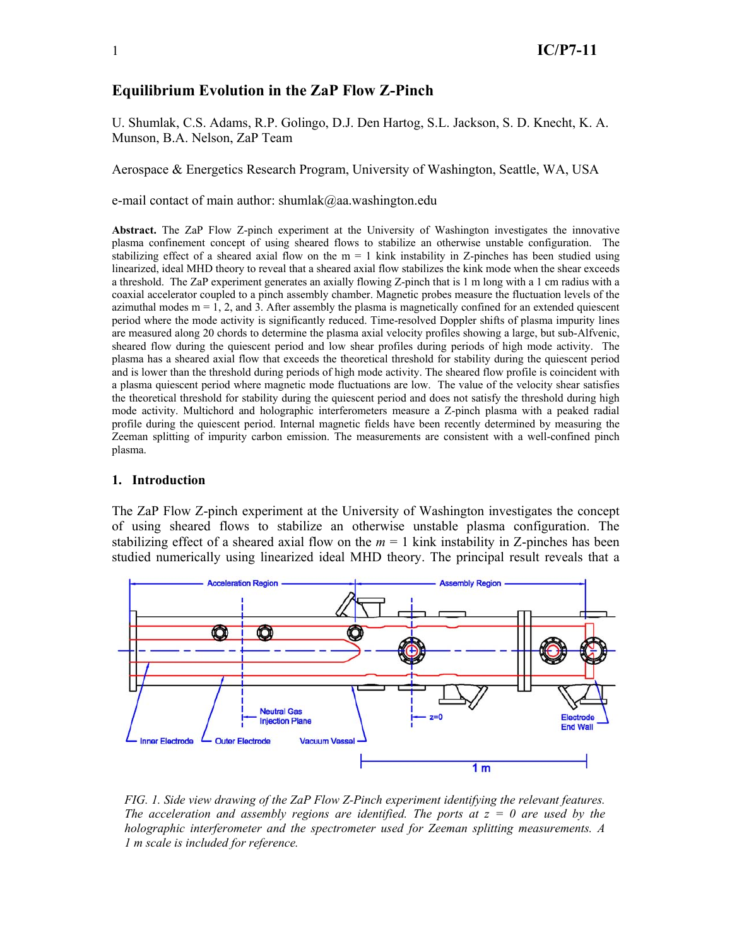# **Equilibrium Evolution in the ZaP Flow Z-Pinch**

U. Shumlak, C.S. Adams, R.P. Golingo, D.J. Den Hartog, S.L. Jackson, S. D. Knecht, K. A. Munson, B.A. Nelson, ZaP Team

Aerospace & Energetics Research Program, University of Washington, Seattle, WA, USA

e-mail contact of main author: shumlak@aa.washington.edu

**Abstract.** The ZaP Flow Z-pinch experiment at the University of Washington investigates the innovative plasma confinement concept of using sheared flows to stabilize an otherwise unstable configuration. The stabilizing effect of a sheared axial flow on the  $m = 1$  kink instability in Z-pinches has been studied using linearized, ideal MHD theory to reveal that a sheared axial flow stabilizes the kink mode when the shear exceeds a threshold. The ZaP experiment generates an axially flowing Z-pinch that is 1 m long with a 1 cm radius with a coaxial accelerator coupled to a pinch assembly chamber. Magnetic probes measure the fluctuation levels of the azimuthal modes  $m = 1, 2$ , and 3. After assembly the plasma is magnetically confined for an extended quiescent period where the mode activity is significantly reduced. Time-resolved Doppler shifts of plasma impurity lines are measured along 20 chords to determine the plasma axial velocity profiles showing a large, but sub-Alfvenic, sheared flow during the quiescent period and low shear profiles during periods of high mode activity. The plasma has a sheared axial flow that exceeds the theoretical threshold for stability during the quiescent period and is lower than the threshold during periods of high mode activity. The sheared flow profile is coincident with a plasma quiescent period where magnetic mode fluctuations are low. The value of the velocity shear satisfies the theoretical threshold for stability during the quiescent period and does not satisfy the threshold during high mode activity. Multichord and holographic interferometers measure a Z-pinch plasma with a peaked radial profile during the quiescent period. Internal magnetic fields have been recently determined by measuring the Zeeman splitting of impurity carbon emission. The measurements are consistent with a well-confined pinch plasma.

#### **1. Introduction**

The ZaP Flow Z-pinch experiment at the University of Washington investigates the concept of using sheared flows to stabilize an otherwise unstable plasma configuration. The stabilizing effect of a sheared axial flow on the  $m = 1$  kink instability in Z-pinches has been studied numerically using linearized ideal MHD theory. The principal result reveals that a



*FIG. 1. Side view drawing of the ZaP Flow Z-Pinch experiment identifying the relevant features. The acceleration and assembly regions are identified. The ports at*  $z = 0$  *are used by the holographic interferometer and the spectrometer used for Zeeman splitting measurements. A 1 m scale is included for reference.*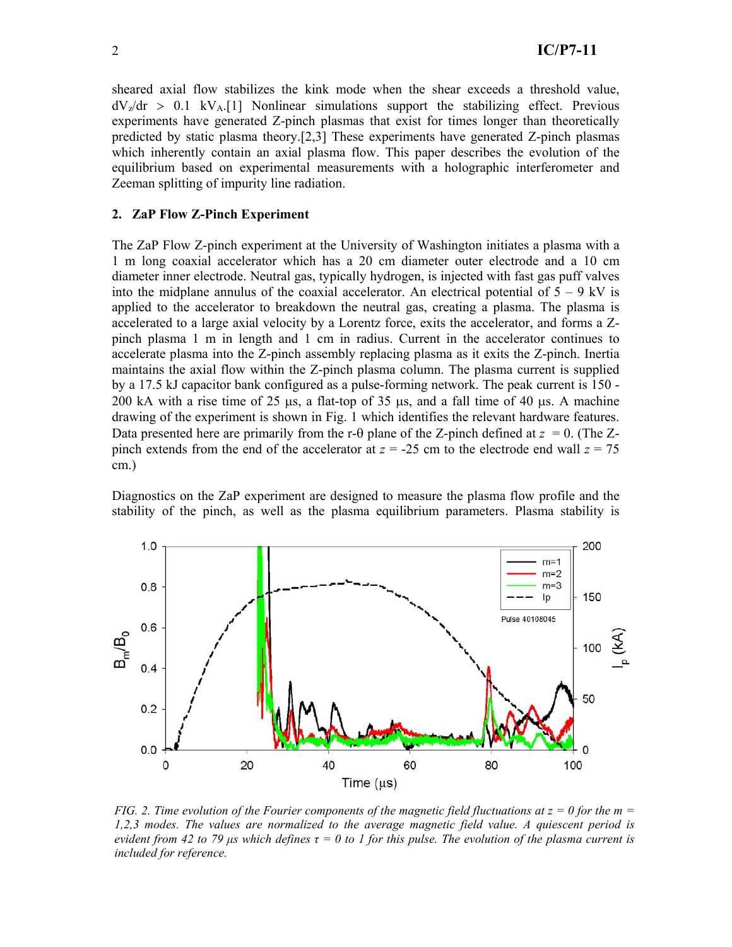sheared axial flow stabilizes the kink mode when the shear exceeds a threshold value,  $dV_z/dr > 0.1$  kV<sub>A</sub>.[1] Nonlinear simulations support the stabilizing effect. Previous experiments have generated Z-pinch plasmas that exist for times longer than theoretically predicted by static plasma theory.[2,3] These experiments have generated Z-pinch plasmas which inherently contain an axial plasma flow. This paper describes the evolution of the equilibrium based on experimental measurements with a holographic interferometer and Zeeman splitting of impurity line radiation.

#### **2. ZaP Flow Z-Pinch Experiment**

The ZaP Flow Z-pinch experiment at the University of Washington initiates a plasma with a 1 m long coaxial accelerator which has a 20 cm diameter outer electrode and a 10 cm diameter inner electrode. Neutral gas, typically hydrogen, is injected with fast gas puff valves into the midplane annulus of the coaxial accelerator. An electrical potential of  $5 - 9$  kV is applied to the accelerator to breakdown the neutral gas, creating a plasma. The plasma is accelerated to a large axial velocity by a Lorentz force, exits the accelerator, and forms a Zpinch plasma 1 m in length and 1 cm in radius. Current in the accelerator continues to accelerate plasma into the Z-pinch assembly replacing plasma as it exits the Z-pinch. Inertia maintains the axial flow within the Z-pinch plasma column. The plasma current is supplied by a 17.5 kJ capacitor bank configured as a pulse-forming network. The peak current is 150 - 200 kA with a rise time of 25  $\mu$ s, a flat-top of 35  $\mu$ s, and a fall time of 40  $\mu$ s. A machine drawing of the experiment is shown in Fig. 1 which identifies the relevant hardware features. Data presented here are primarily from the r- $\theta$  plane of the Z-pinch defined at  $z = 0$ . (The Zpinch extends from the end of the accelerator at  $z = -25$  cm to the electrode end wall  $z = 75$ cm.)

Diagnostics on the ZaP experiment are designed to measure the plasma flow profile and the stability of the pinch, as well as the plasma equilibrium parameters. Plasma stability is



*FIG. 2. Time evolution of the Fourier components of the magnetic field fluctuations at*  $z = 0$  *for the m = 1,2,3 modes. The values are normalized to the average magnetic field value. A quiescent period is evident from 42 to 79*  $\mu$ *s which defines*  $\tau = 0$  to 1 for this pulse. The evolution of the plasma current is *included for reference.*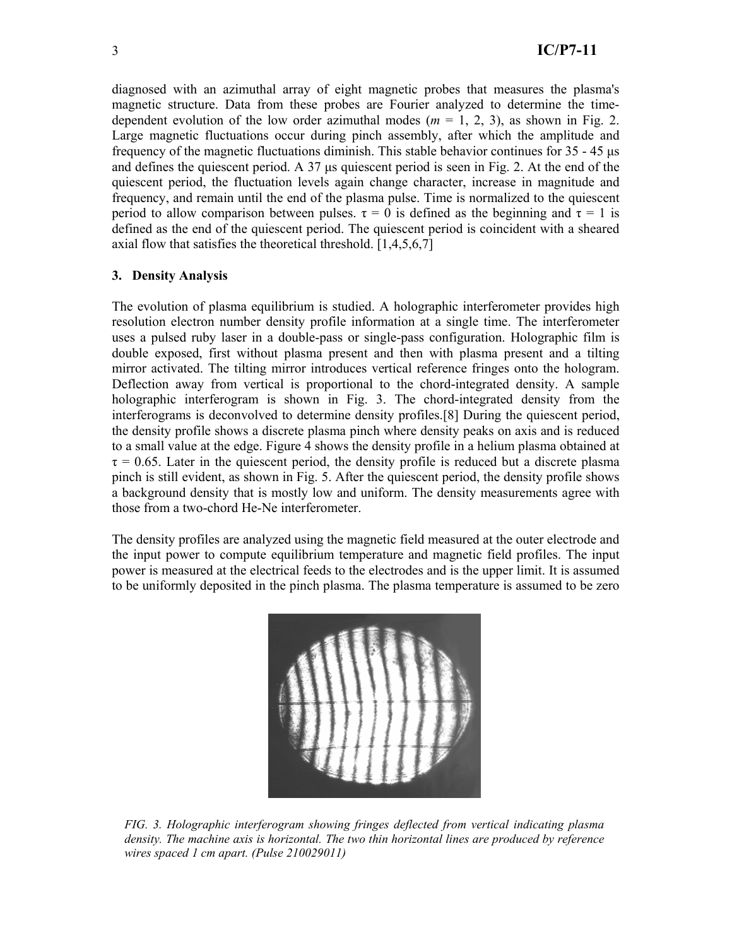diagnosed with an azimuthal array of eight magnetic probes that measures the plasma's magnetic structure. Data from these probes are Fourier analyzed to determine the timedependent evolution of the low order azimuthal modes ( $m = 1, 2, 3$ ), as shown in Fig. 2. Large magnetic fluctuations occur during pinch assembly, after which the amplitude and frequency of the magnetic fluctuations diminish. This stable behavior continues for  $35 - 45 \mu s$ and defines the quiescent period. A  $37 \mu s$  quiescent period is seen in Fig. 2. At the end of the quiescent period, the fluctuation levels again change character, increase in magnitude and frequency, and remain until the end of the plasma pulse. Time is normalized to the quiescent period to allow comparison between pulses.  $\tau = 0$  is defined as the beginning and  $\tau = 1$  is defined as the end of the quiescent period. The quiescent period is coincident with a sheared axial flow that satisfies the theoretical threshold. [1,4,5,6,7]

## **3. Density Analysis**

The evolution of plasma equilibrium is studied. A holographic interferometer provides high resolution electron number density profile information at a single time. The interferometer uses a pulsed ruby laser in a double-pass or single-pass configuration. Holographic film is double exposed, first without plasma present and then with plasma present and a tilting mirror activated. The tilting mirror introduces vertical reference fringes onto the hologram. Deflection away from vertical is proportional to the chord-integrated density. A sample holographic interferogram is shown in Fig. 3. The chord-integrated density from the interferograms is deconvolved to determine density profiles.[8] During the quiescent period, the density profile shows a discrete plasma pinch where density peaks on axis and is reduced to a small value at the edge. Figure 4 shows the density profile in a helium plasma obtained at  $\tau = 0.65$ . Later in the quiescent period, the density profile is reduced but a discrete plasma pinch is still evident, as shown in Fig. 5. After the quiescent period, the density profile shows a background density that is mostly low and uniform. The density measurements agree with those from a two-chord He-Ne interferometer.

The density profiles are analyzed using the magnetic field measured at the outer electrode and the input power to compute equilibrium temperature and magnetic field profiles. The input power is measured at the electrical feeds to the electrodes and is the upper limit. It is assumed to be uniformly deposited in the pinch plasma. The plasma temperature is assumed to be zero



*FIG. 3. Holographic interferogram showing fringes deflected from vertical indicating plasma density. The machine axis is horizontal. The two thin horizontal lines are produced by reference wires spaced 1 cm apart. (Pulse 210029011)*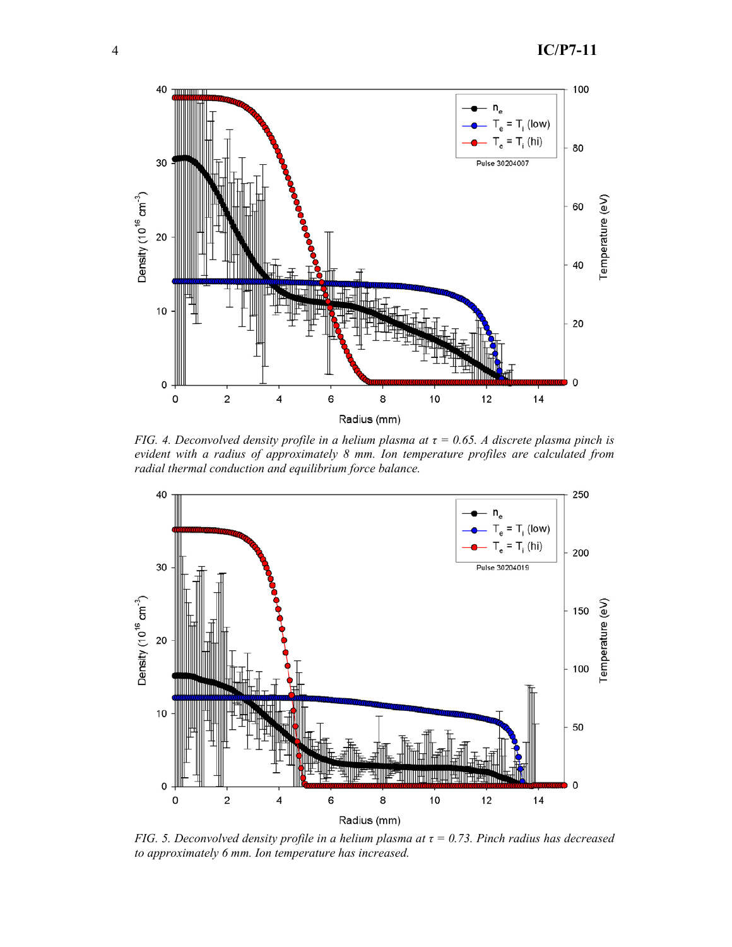

*FIG. 4. Deconvolved density profile in a helium plasma at*  $\tau$  = 0.65. A discrete plasma pinch is *evident with a radius of approximately 8 mm. Ion temperature profiles are calculated from radial thermal conduction and equilibrium force balance.* 



*FIG. 5. Deconvolved density profile in a helium plasma at*  $\tau$  = 0.73. Pinch radius has decreased *to approximately 6 mm. Ion temperature has increased.*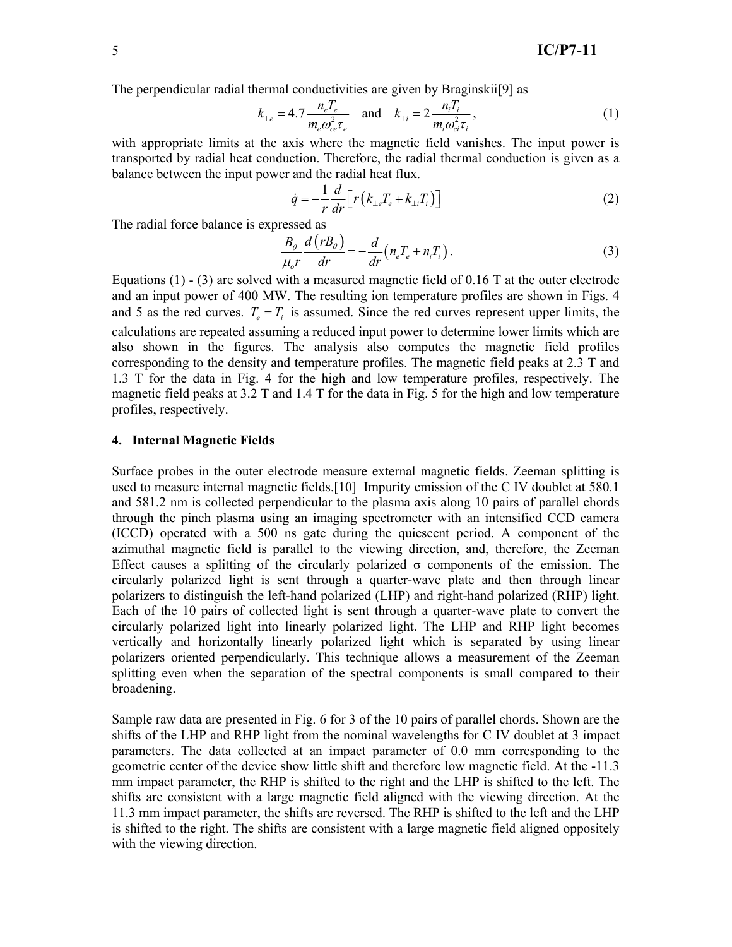The perpendicular radial thermal conductivities are given by Braginskii[9] as

$$
k_{\perp e} = 4.7 \frac{n_e T_e}{m_e \omega_{ce}^2 \tau_e} \quad \text{and} \quad k_{\perp i} = 2 \frac{n_i T_i}{m_i \omega_{ci}^2 \tau_i}, \tag{1}
$$

with appropriate limits at the axis where the magnetic field vanishes. The input power is transported by radial heat conduction. Therefore, the radial thermal conduction is given as a balance between the input power and the radial heat flux.

$$
\dot{q} = -\frac{1}{r} \frac{d}{dr} \left[ r \left( k_{\perp e} T_e + k_{\perp i} T_i \right) \right] \tag{2}
$$

The radial force balance is expressed as

$$
\frac{B_{\theta}}{\mu_{o}r}\frac{d(rB_{\theta})}{dr} = -\frac{d}{dr}\left(n_{e}T_{e} + n_{i}T_{i}\right).
$$
\n(3)

Equations  $(1)$  -  $(3)$  are solved with a measured magnetic field of 0.16 T at the outer electrode and an input power of 400 MW. The resulting ion temperature profiles are shown in Figs. 4 and 5 as the red curves.  $T_e = T_i$  is assumed. Since the red curves represent upper limits, the calculations are repeated assuming a reduced input power to determine lower limits which are also shown in the figures. The analysis also computes the magnetic field profiles corresponding to the density and temperature profiles. The magnetic field peaks at 2.3 T and 1.3 T for the data in Fig. 4 for the high and low temperature profiles, respectively. The magnetic field peaks at 3.2 T and 1.4 T for the data in Fig. 5 for the high and low temperature profiles, respectively.

## **4. Internal Magnetic Fields**

Surface probes in the outer electrode measure external magnetic fields. Zeeman splitting is used to measure internal magnetic fields.[10] Impurity emission of the C IV doublet at 580.1 and 581.2 nm is collected perpendicular to the plasma axis along 10 pairs of parallel chords through the pinch plasma using an imaging spectrometer with an intensified CCD camera (ICCD) operated with a 500 ns gate during the quiescent period. A component of the azimuthal magnetic field is parallel to the viewing direction, and, therefore, the Zeeman Effect causes a splitting of the circularly polarized  $\sigma$  components of the emission. The circularly polarized light is sent through a quarter-wave plate and then through linear polarizers to distinguish the left-hand polarized (LHP) and right-hand polarized (RHP) light. Each of the 10 pairs of collected light is sent through a quarter-wave plate to convert the circularly polarized light into linearly polarized light. The LHP and RHP light becomes vertically and horizontally linearly polarized light which is separated by using linear polarizers oriented perpendicularly. This technique allows a measurement of the Zeeman splitting even when the separation of the spectral components is small compared to their broadening.

Sample raw data are presented in Fig. 6 for 3 of the 10 pairs of parallel chords. Shown are the shifts of the LHP and RHP light from the nominal wavelengths for C IV doublet at 3 impact parameters. The data collected at an impact parameter of 0.0 mm corresponding to the geometric center of the device show little shift and therefore low magnetic field. At the -11.3 mm impact parameter, the RHP is shifted to the right and the LHP is shifted to the left. The shifts are consistent with a large magnetic field aligned with the viewing direction. At the 11.3 mm impact parameter, the shifts are reversed. The RHP is shifted to the left and the LHP is shifted to the right. The shifts are consistent with a large magnetic field aligned oppositely with the viewing direction.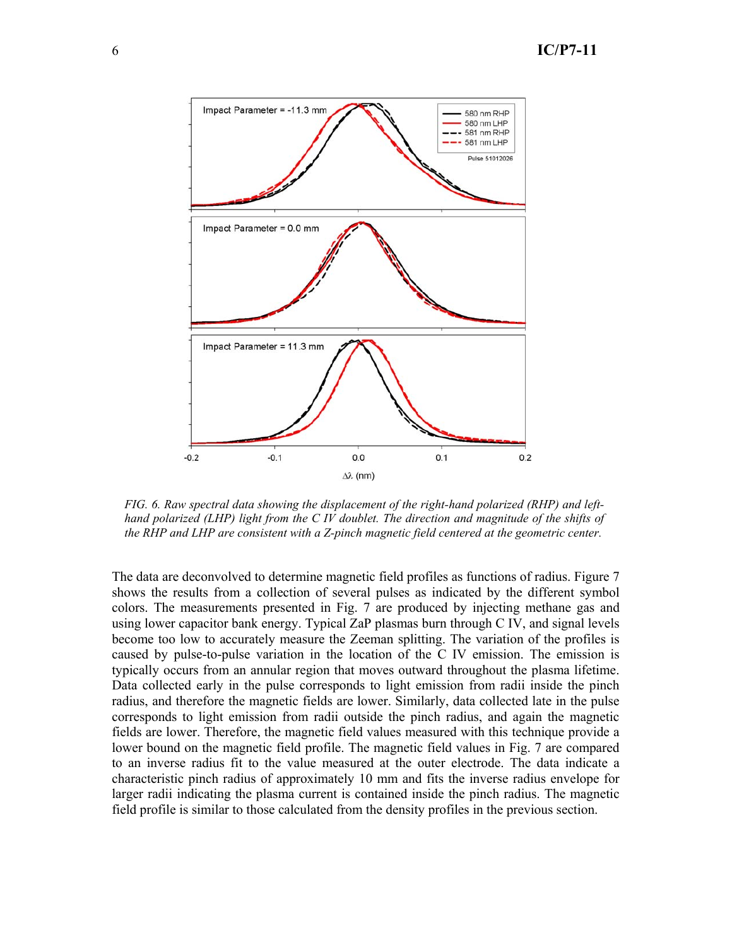

*FIG. 6. Raw spectral data showing the displacement of the right-hand polarized (RHP) and lefthand polarized (LHP) light from the C IV doublet. The direction and magnitude of the shifts of the RHP and LHP are consistent with a Z-pinch magnetic field centered at the geometric center.* 

The data are deconvolved to determine magnetic field profiles as functions of radius. Figure 7 shows the results from a collection of several pulses as indicated by the different symbol colors. The measurements presented in Fig. 7 are produced by injecting methane gas and using lower capacitor bank energy. Typical ZaP plasmas burn through C IV, and signal levels become too low to accurately measure the Zeeman splitting. The variation of the profiles is caused by pulse-to-pulse variation in the location of the C IV emission. The emission is typically occurs from an annular region that moves outward throughout the plasma lifetime. Data collected early in the pulse corresponds to light emission from radii inside the pinch radius, and therefore the magnetic fields are lower. Similarly, data collected late in the pulse corresponds to light emission from radii outside the pinch radius, and again the magnetic fields are lower. Therefore, the magnetic field values measured with this technique provide a lower bound on the magnetic field profile. The magnetic field values in Fig. 7 are compared to an inverse radius fit to the value measured at the outer electrode. The data indicate a characteristic pinch radius of approximately 10 mm and fits the inverse radius envelope for larger radii indicating the plasma current is contained inside the pinch radius. The magnetic field profile is similar to those calculated from the density profiles in the previous section.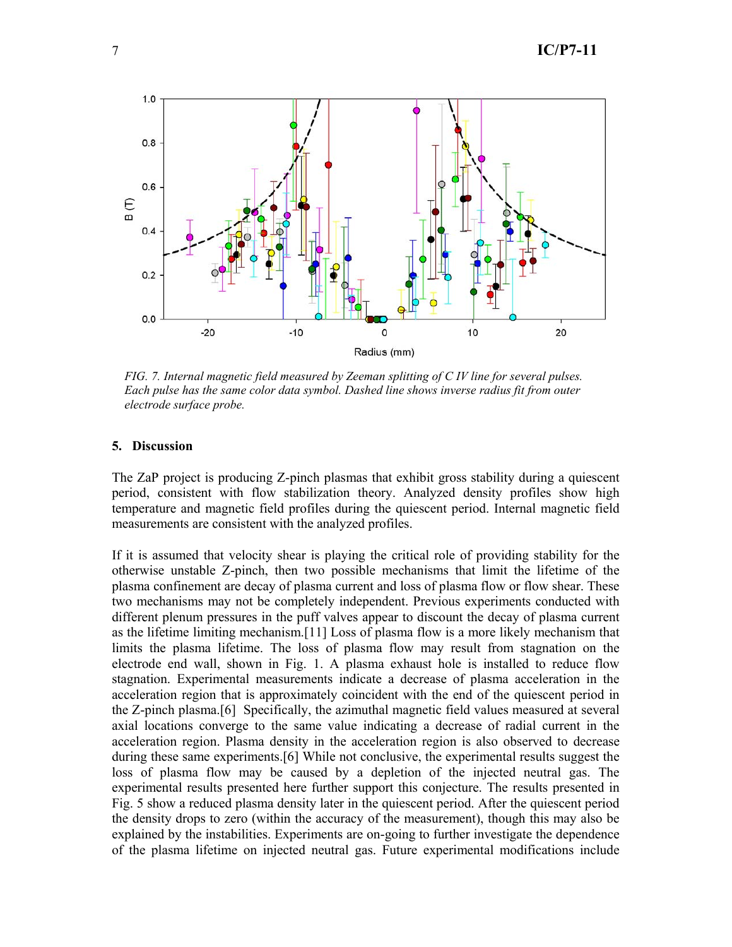

*FIG. 7. Internal magnetic field measured by Zeeman splitting of C IV line for several pulses. Each pulse has the same color data symbol. Dashed line shows inverse radius fit from outer electrode surface probe.* 

## **5. Discussion**

The ZaP project is producing Z-pinch plasmas that exhibit gross stability during a quiescent period, consistent with flow stabilization theory. Analyzed density profiles show high temperature and magnetic field profiles during the quiescent period. Internal magnetic field measurements are consistent with the analyzed profiles.

If it is assumed that velocity shear is playing the critical role of providing stability for the otherwise unstable Z-pinch, then two possible mechanisms that limit the lifetime of the plasma confinement are decay of plasma current and loss of plasma flow or flow shear. These two mechanisms may not be completely independent. Previous experiments conducted with different plenum pressures in the puff valves appear to discount the decay of plasma current as the lifetime limiting mechanism.[11] Loss of plasma flow is a more likely mechanism that limits the plasma lifetime. The loss of plasma flow may result from stagnation on the electrode end wall, shown in Fig. 1. A plasma exhaust hole is installed to reduce flow stagnation. Experimental measurements indicate a decrease of plasma acceleration in the acceleration region that is approximately coincident with the end of the quiescent period in the Z-pinch plasma.[6] Specifically, the azimuthal magnetic field values measured at several axial locations converge to the same value indicating a decrease of radial current in the acceleration region. Plasma density in the acceleration region is also observed to decrease during these same experiments.[6] While not conclusive, the experimental results suggest the loss of plasma flow may be caused by a depletion of the injected neutral gas. The experimental results presented here further support this conjecture. The results presented in Fig. 5 show a reduced plasma density later in the quiescent period. After the quiescent period the density drops to zero (within the accuracy of the measurement), though this may also be explained by the instabilities. Experiments are on-going to further investigate the dependence of the plasma lifetime on injected neutral gas. Future experimental modifications include